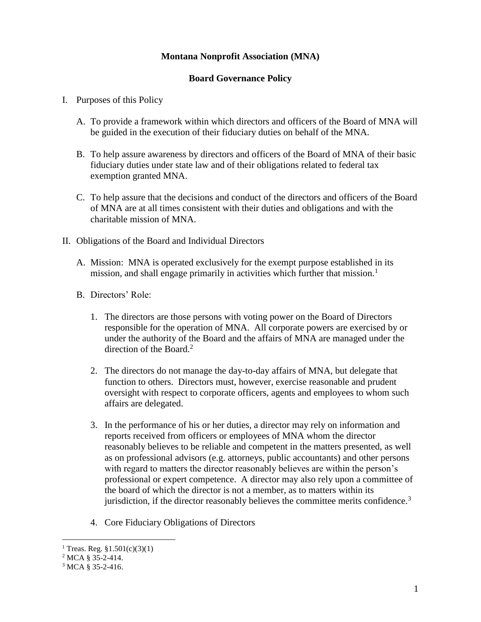## **Montana Nonprofit Association (MNA)**

## **Board Governance Policy**

- I. Purposes of this Policy
	- A. To provide a framework within which directors and officers of the Board of MNA will be guided in the execution of their fiduciary duties on behalf of the MNA.
	- B. To help assure awareness by directors and officers of the Board of MNA of their basic fiduciary duties under state law and of their obligations related to federal tax exemption granted MNA.
	- C. To help assure that the decisions and conduct of the directors and officers of the Board of MNA are at all times consistent with their duties and obligations and with the charitable mission of MNA.
- II. Obligations of the Board and Individual Directors
	- A. Mission: MNA is operated exclusively for the exempt purpose established in its mission, and shall engage primarily in activities which further that mission.<sup>1</sup>
	- B. Directors' Role:
		- 1. The directors are those persons with voting power on the Board of Directors responsible for the operation of MNA. All corporate powers are exercised by or under the authority of the Board and the affairs of MNA are managed under the direction of the Board.<sup>2</sup>
		- 2. The directors do not manage the day-to-day affairs of MNA, but delegate that function to others. Directors must, however, exercise reasonable and prudent oversight with respect to corporate officers, agents and employees to whom such affairs are delegated.
		- 3. In the performance of his or her duties, a director may rely on information and reports received from officers or employees of MNA whom the director reasonably believes to be reliable and competent in the matters presented, as well as on professional advisors (e.g. attorneys, public accountants) and other persons with regard to matters the director reasonably believes are within the person's professional or expert competence. A director may also rely upon a committee of the board of which the director is not a member, as to matters within its jurisdiction, if the director reasonably believes the committee merits confidence.<sup>3</sup>
		- 4. Core Fiduciary Obligations of Directors

 $\overline{a}$ 

<sup>&</sup>lt;sup>1</sup> Treas. Reg.  $$1.501(c)(3)(1)$ 

 $2$  MCA § 35-2-414.

<sup>3</sup> MCA § 35-2-416.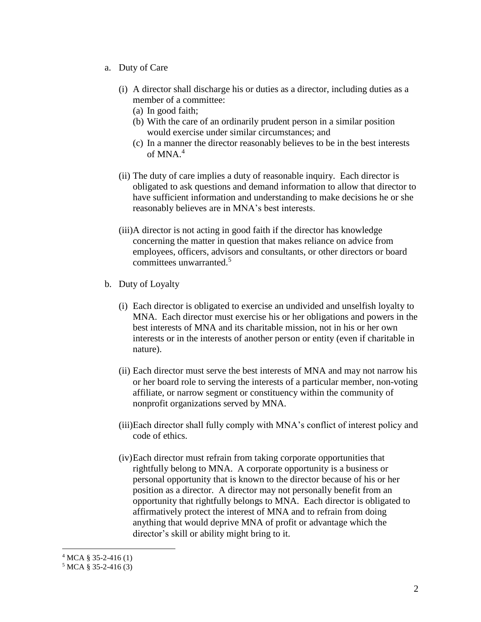- a. Duty of Care
	- (i) A director shall discharge his or duties as a director, including duties as a member of a committee:
		- (a) In good faith;
		- (b) With the care of an ordinarily prudent person in a similar position would exercise under similar circumstances; and
		- (c) In a manner the director reasonably believes to be in the best interests of  $MNA<sup>4</sup>$
	- (ii) The duty of care implies a duty of reasonable inquiry. Each director is obligated to ask questions and demand information to allow that director to have sufficient information and understanding to make decisions he or she reasonably believes are in MNA's best interests.
	- (iii)A director is not acting in good faith if the director has knowledge concerning the matter in question that makes reliance on advice from employees, officers, advisors and consultants, or other directors or board committees unwarranted.<sup>5</sup>
- b. Duty of Loyalty
	- (i) Each director is obligated to exercise an undivided and unselfish loyalty to MNA. Each director must exercise his or her obligations and powers in the best interests of MNA and its charitable mission, not in his or her own interests or in the interests of another person or entity (even if charitable in nature).
	- (ii) Each director must serve the best interests of MNA and may not narrow his or her board role to serving the interests of a particular member, non-voting affiliate, or narrow segment or constituency within the community of nonprofit organizations served by MNA.
	- (iii)Each director shall fully comply with MNA's conflict of interest policy and code of ethics.
	- (iv)Each director must refrain from taking corporate opportunities that rightfully belong to MNA. A corporate opportunity is a business or personal opportunity that is known to the director because of his or her position as a director. A director may not personally benefit from an opportunity that rightfully belongs to MNA. Each director is obligated to affirmatively protect the interest of MNA and to refrain from doing anything that would deprive MNA of profit or advantage which the director's skill or ability might bring to it.

 $\overline{a}$ 

 $4 MCA \& 35-2-416(1)$ 

 $5 \text{ MCA } 8 \text{ 35-2-416 (3)}$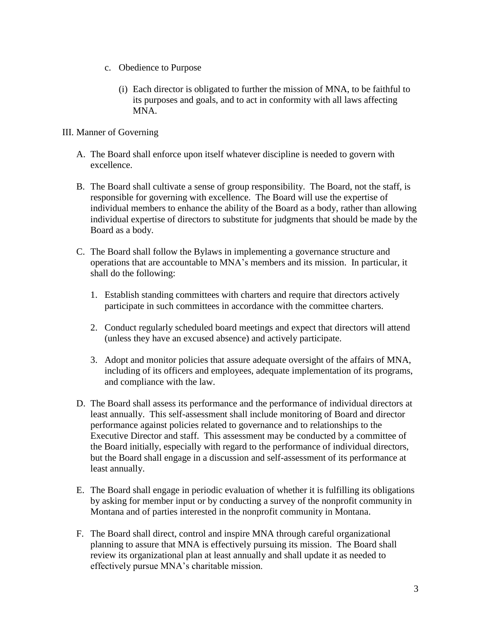- c. Obedience to Purpose
	- (i) Each director is obligated to further the mission of MNA, to be faithful to its purposes and goals, and to act in conformity with all laws affecting MNA.
- III. Manner of Governing
	- A. The Board shall enforce upon itself whatever discipline is needed to govern with excellence.
	- B. The Board shall cultivate a sense of group responsibility. The Board, not the staff, is responsible for governing with excellence. The Board will use the expertise of individual members to enhance the ability of the Board as a body, rather than allowing individual expertise of directors to substitute for judgments that should be made by the Board as a body.
	- C. The Board shall follow the Bylaws in implementing a governance structure and operations that are accountable to MNA's members and its mission. In particular, it shall do the following:
		- 1. Establish standing committees with charters and require that directors actively participate in such committees in accordance with the committee charters.
		- 2. Conduct regularly scheduled board meetings and expect that directors will attend (unless they have an excused absence) and actively participate.
		- 3. Adopt and monitor policies that assure adequate oversight of the affairs of MNA, including of its officers and employees, adequate implementation of its programs, and compliance with the law.
	- D. The Board shall assess its performance and the performance of individual directors at least annually. This self-assessment shall include monitoring of Board and director performance against policies related to governance and to relationships to the Executive Director and staff. This assessment may be conducted by a committee of the Board initially, especially with regard to the performance of individual directors, but the Board shall engage in a discussion and self-assessment of its performance at least annually.
	- E. The Board shall engage in periodic evaluation of whether it is fulfilling its obligations by asking for member input or by conducting a survey of the nonprofit community in Montana and of parties interested in the nonprofit community in Montana.
	- F. The Board shall direct, control and inspire MNA through careful organizational planning to assure that MNA is effectively pursuing its mission. The Board shall review its organizational plan at least annually and shall update it as needed to effectively pursue MNA's charitable mission.